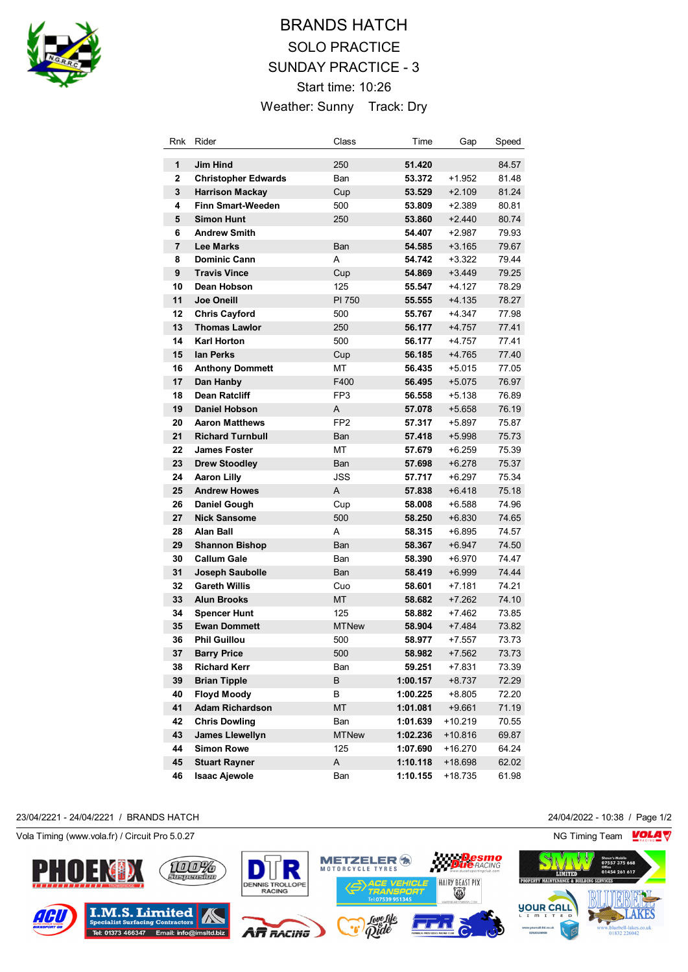

# BRANDS HATCH SOLO PRACTICE SUNDAY PRACTICE - 3 Start time: 10:26 Weather: Sunny Track: Dry

| Rnk            | Rider                      | Class           | Time     | Gap       | Speed |
|----------------|----------------------------|-----------------|----------|-----------|-------|
| 1              | <b>Jim Hind</b>            | 250             | 51.420   |           | 84.57 |
| $\mathbf{2}$   | <b>Christopher Edwards</b> | Ban             | 53.372   | $+1.952$  | 81.48 |
| 3              | <b>Harrison Mackay</b>     | Cup             | 53.529   | $+2.109$  | 81.24 |
| 4              | <b>Finn Smart-Weeden</b>   | 500             | 53.809   | $+2.389$  | 80.81 |
| 5              | <b>Simon Hunt</b>          | 250             | 53.860   | $+2.440$  | 80.74 |
| 6              | <b>Andrew Smith</b>        |                 | 54.407   | $+2.987$  | 79.93 |
| $\overline{7}$ | <b>Lee Marks</b>           | Ban             | 54.585   | $+3.165$  | 79.67 |
| 8              | <b>Dominic Cann</b>        | A               | 54.742   | $+3.322$  | 79.44 |
| 9              | <b>Travis Vince</b>        | Cup             | 54.869   | $+3.449$  | 79.25 |
| 10             | Dean Hobson                | 125             | 55.547   | $+4.127$  | 78.29 |
| 11             | <b>Joe Oneill</b>          | PI 750          | 55.555   | $+4.135$  | 78.27 |
| 12             | <b>Chris Cayford</b>       | 500             | 55.767   | +4.347    | 77.98 |
| 13             | <b>Thomas Lawlor</b>       | 250             | 56.177   | $+4.757$  | 77.41 |
| 14             | <b>Karl Horton</b>         | 500             | 56.177   | $+4.757$  | 77.41 |
| 15             | lan Perks                  | Cup             | 56.185   | $+4.765$  | 77.40 |
| 16             | <b>Anthony Dommett</b>     | МT              | 56.435   | $+5.015$  | 77.05 |
| 17             | Dan Hanby                  | F400            | 56.495   | $+5.075$  | 76.97 |
| 18             | Dean Ratcliff              | FP3             | 56.558   | +5.138    | 76.89 |
| 19             | <b>Daniel Hobson</b>       | A               | 57.078   | $+5.658$  | 76.19 |
| 20             | <b>Aaron Matthews</b>      | FP <sub>2</sub> | 57.317   | $+5.897$  | 75.87 |
| 21             | <b>Richard Turnbull</b>    | Ban             | 57.418   | $+5.998$  | 75.73 |
| 22             | <b>James Foster</b>        | МT              | 57.679   | $+6.259$  | 75.39 |
| 23             | <b>Drew Stoodley</b>       | Ban             | 57.698   | $+6.278$  | 75.37 |
| 24             | <b>Aaron Lilly</b>         | JSS             | 57.717   | $+6.297$  | 75.34 |
| 25             | <b>Andrew Howes</b>        | Α               | 57.838   | $+6.418$  | 75.18 |
| 26             | Daniel Gough               | Cup             | 58.008   | $+6.588$  | 74.96 |
| 27             | <b>Nick Sansome</b>        | 500             | 58.250   | $+6.830$  | 74.65 |
| 28             | Alan Ball                  | A               | 58.315   | $+6.895$  | 74.57 |
| 29             | <b>Shannon Bishop</b>      | Ban             | 58.367   | $+6.947$  | 74.50 |
| 30             | <b>Callum Gale</b>         | Ban             | 58.390   | $+6.970$  | 74.47 |
| 31             | Joseph Saubolle            | Ban             | 58.419   | $+6.999$  | 74.44 |
| 32             | <b>Gareth Willis</b>       | Cuo             | 58.601   | +7.181    | 74.21 |
| 33             | <b>Alun Brooks</b>         | МT              | 58.682   | $+7.262$  | 74.10 |
| 34             | <b>Spencer Hunt</b>        | 125             | 58.882   | $+7.462$  | 73.85 |
| 35             | <b>Ewan Dommett</b>        | <b>MTNew</b>    | 58.904   | $+7.484$  | 73.82 |
| 36             | <b>Phil Guillou</b>        | 500             | 58.977   | $+7.557$  | 73.73 |
| 37             | <b>Barry Price</b>         | 500             | 58.982   | $+7.562$  | 73.73 |
| 38             | <b>Richard Kerr</b>        | Ban             | 59.251   | $+7.831$  | 73.39 |
| 39             | <b>Brian Tipple</b>        | В               | 1:00.157 | +8.737    | 72.29 |
| 40             | <b>Floyd Moody</b>         | В               | 1:00.225 | +8.805    | 72.20 |
| 41             | <b>Adam Richardson</b>     | MT              | 1:01.081 | $+9.661$  | 71.19 |
| 42             | <b>Chris Dowling</b>       | Ban             | 1:01.639 | $+10.219$ | 70.55 |
| 43             | James Llewellyn            | <b>MTNew</b>    | 1:02.236 | $+10.816$ | 69.87 |
| 44             | <b>Simon Rowe</b>          | 125             | 1:07.690 | $+16.270$ | 64.24 |
| 45             | <b>Stuart Rayner</b>       | A               | 1:10.118 | +18.698   | 62.02 |
| 46             | <b>Isaac Ajewole</b>       | Ban             | 1:10.155 | +18.735   | 61.98 |

#### 23/04/2221 - 24/04/2221 / BRANDS HATCH 24/04/2022 - 10:38 / Page 1/2

Vola Timing (www.vola.fr) / Circuit Pro 5.0.27 NG Timing Team NG Timing Team NG Timing Team NG Timing Team NG

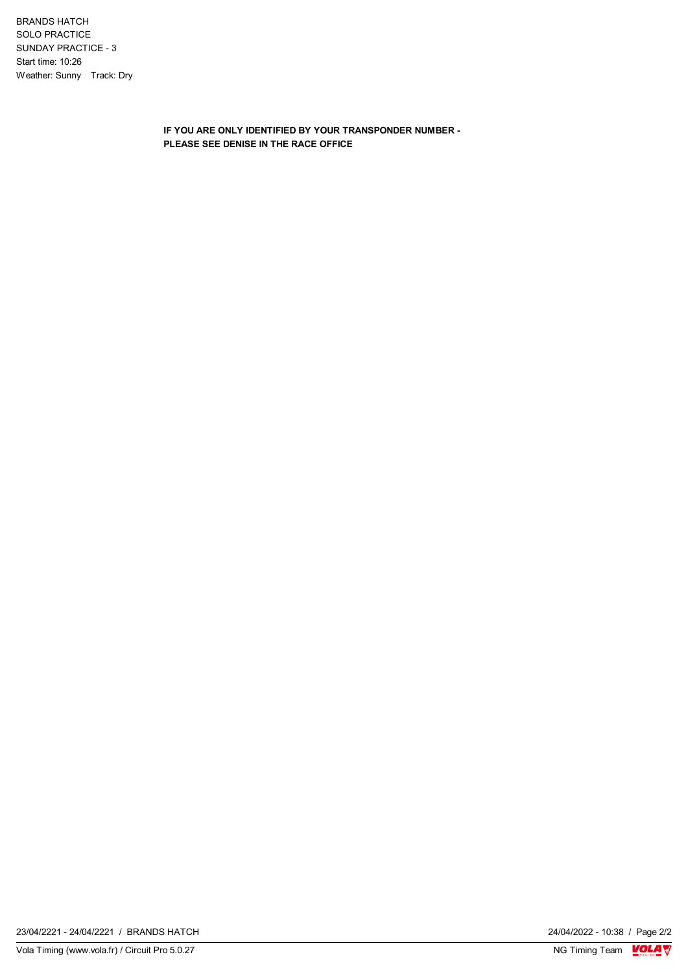BRANDS HATCH SOLO PRACTICE SUNDAY PRACTICE - 3 Start time: 10:26 Weather: Sunny Track: Dry

> **IF YOU ARE ONLY IDENTIFIED BY YOUR TRANSPONDER NUMBER - PLEASE SEE DENISE IN THE RACE OFFICE**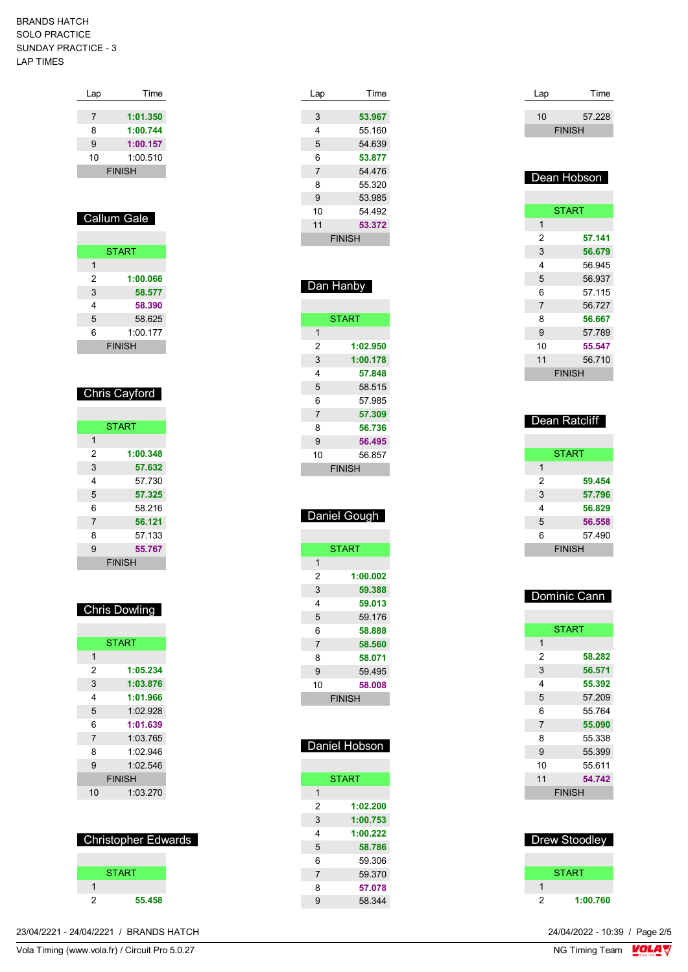| Lap | Time          |
|-----|---------------|
|     |               |
| 7   | 1:01.350      |
| 8   | 1:00.744      |
| 9   | 1:00.157      |
| 10  | 1:00.510      |
|     | <b>FINISH</b> |

## Callum Gale

|   | <b>START</b>  |
|---|---------------|
| 1 |               |
| 2 | 1:00.066      |
| 3 | 58.577        |
| 4 | 58.390        |
| 5 | 58.625        |
| 6 | 1:00.177      |
|   | <b>FINISH</b> |

### Chris Cayford

|                | <b>START</b>  |
|----------------|---------------|
| 1              |               |
| 2              | 1:00.348      |
| 3              | 57.632        |
| 4              | 57.730        |
| 5              | 57.325        |
| 6              | 58.216        |
| $\overline{7}$ | 56.121        |
| 8              | 57.133        |
| 9              | 55.767        |
|                | <b>FINISH</b> |

### Chris Dowling

|                | <b>START</b>  |
|----------------|---------------|
| 1              |               |
| 2              | 1:05.234      |
| 3              | 1:03.876      |
| 4              | 1:01.966      |
| 5              | 1:02.928      |
| 6              | 1:01.639      |
| $\overline{7}$ | 1:03.765      |
| 8              | 1:02.946      |
| 9              | 1:02.546      |
|                | <b>FINISH</b> |
| 10             | 1:03.270      |

### Christopher Edwards



|  | / BRANDS HATCH<br>23/04/2221 - 24/04/2221 / | 24/04/2022 - 10:39 / Page 2/5 |
|--|---------------------------------------------|-------------------------------|
|--|---------------------------------------------|-------------------------------|

| Lap            | Time          |
|----------------|---------------|
|                |               |
| 3              | 53.967        |
| 4              | 55.160        |
| 5              | 54.639        |
| 6              | 53.877        |
| $\overline{7}$ | 54.476        |
| 8              | 55.320        |
| 9              | 53.985        |
| 10             | 54 492        |
| 11             | 53.372        |
|                | <b>FINISH</b> |
|                |               |

## Dan Hanby

|                | <b>START</b>  |
|----------------|---------------|
| 1              |               |
| 2              | 1:02.950      |
| 3              | 1:00.178      |
| 4              | 57.848        |
| 5              | 58.515        |
| 6              | 57 985        |
| $\overline{7}$ | 57.309        |
| 8              | 56.736        |
| 9              | 56.495        |
| 10             | 56.857        |
|                | <b>FINISH</b> |
|                |               |

## Daniel Gough

|                | <b>START</b> |  |
|----------------|--------------|--|
| 1              |              |  |
| 2              | 1:00.002     |  |
| 3              | 59.388       |  |
| 4              | 59.013       |  |
| 5              | 59.176       |  |
| 6              | 58.888       |  |
| $\overline{7}$ | 58.560       |  |
| 8              | 58.071       |  |
| 9              | 59.495       |  |
| 10             | 58.008       |  |
| <b>FINISH</b>  |              |  |

## Daniel Hobson **START 1:02.200 1:00.753 1:00.222 58.786** 59.306 59.370

 **57.078** 58.344

| Lap | Time          |
|-----|---------------|
| 10  |               |
|     | 57.228        |
|     | <b>FINISH</b> |

### Dean Hobson

|                | <b>START</b>  |
|----------------|---------------|
| 1              |               |
| 2              | 57.141        |
| 3              | 56.679        |
| 4              | 56.945        |
| 5              | 56.937        |
| 6              | 57 115        |
| $\overline{7}$ | 56.727        |
| 8              | 56.667        |
| 9              | 57.789        |
| 10             | 55.547        |
| 11             | 56.710        |
|                | <b>FINISH</b> |

## Dean Ratcliff

|   | <b>START</b>  |
|---|---------------|
| 1 |               |
| 2 | 59.454        |
| 3 | 57.796        |
| 4 | 56.829        |
| 5 | 56.558        |
| 6 | 57.490        |
|   | <b>FINISH</b> |

| Dominic Cann   |               |
|----------------|---------------|
|                |               |
|                | <b>START</b>  |
| 1              |               |
| 2              | 58.282        |
| 3              | 56.571        |
| 4              | 55.392        |
| 5              | 57.209        |
| 6              | 55 764        |
| $\overline{7}$ | 55.090        |
| 8              | 55.338        |
| 9              | 55.399        |
| 10             | 55.611        |
| 11             | 54.742        |
|                | <b>FINISH</b> |
|                |               |

|   | Drew Stoodley |
|---|---------------|
|   |               |
|   | START         |
|   |               |
| 2 | 1:00.760      |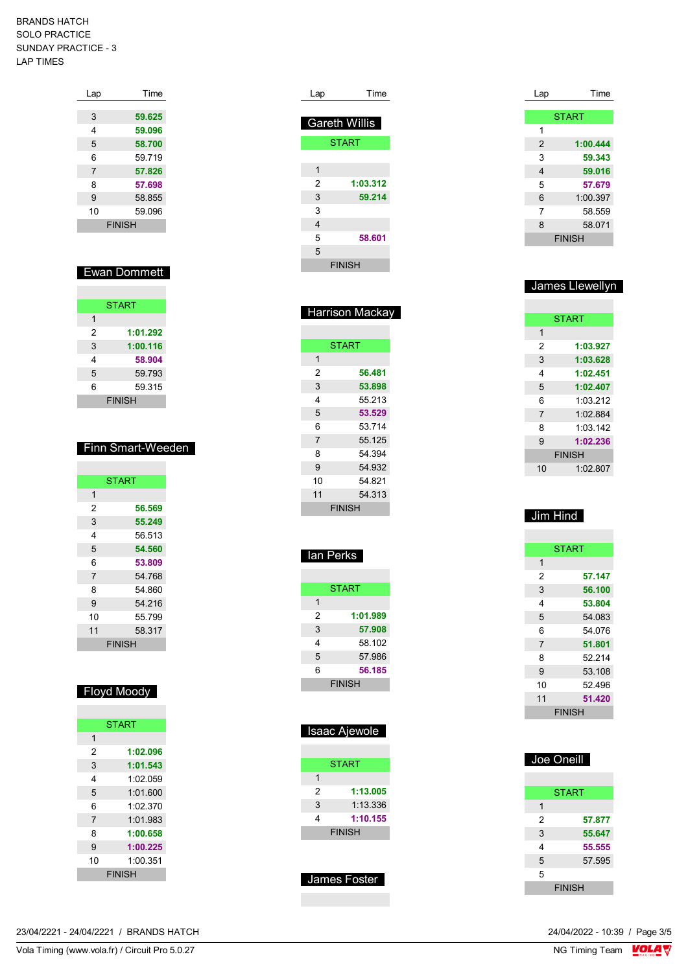| Lap            | Time          |
|----------------|---------------|
|                |               |
| 3              | 59.625        |
| 4              | 59.096        |
| 5              | 58.700        |
| 6              | 59.719        |
| $\overline{7}$ | 57.826        |
| 8              | 57.698        |
| 9              | 58.855        |
| 10             | 59.096        |
|                | <b>FINISH</b> |

## Ewan Dommett

|   | <b>START</b>  |
|---|---------------|
| 1 |               |
| 2 | 1:01.292      |
| 3 | 1:00.116      |
| 4 | 58.904        |
| 5 | 59.793        |
| 6 | 59.315        |
|   | <b>FINISH</b> |

#### Finn Smart-Weeden

|                | <b>START</b>  |
|----------------|---------------|
| 1              |               |
| 2              | 56.569        |
| 3              | 55.249        |
| 4              | 56 513        |
| 5              | 54.560        |
| 6              | 53.809        |
| $\overline{7}$ | 54.768        |
| 8              | 54 860        |
| 9              | 54.216        |
| 10             | 55.799        |
| 11             | 58.317        |
|                | <b>FINISH</b> |

## Floyd Moody

|                | <b>START</b>  |
|----------------|---------------|
| 1              |               |
| 2              | 1:02.096      |
| 3              | 1:01.543      |
| 4              | 1:02.059      |
| 5              | 1:01.600      |
| 6              | 1:02 370      |
| $\overline{7}$ | 1:01.983      |
| 8              | 1:00.658      |
| 9              | 1:00.225      |
| 10             | 1.00351       |
|                | <b>FINISH</b> |

| Lap | Time                 |  |
|-----|----------------------|--|
|     |                      |  |
|     | <b>Gareth Willis</b> |  |
|     | <b>START</b>         |  |
|     |                      |  |
| 1   |                      |  |
| 2   | 1:03.312             |  |
| 3   | 59.214               |  |
| 3   |                      |  |
| 4   |                      |  |
| 5   | 58.601               |  |
| 5   |                      |  |
|     | <b>FINISH</b>        |  |

| <b>Harrison Mackay</b> |              |  |
|------------------------|--------------|--|
|                        |              |  |
|                        | <b>START</b> |  |
| 1                      |              |  |
| 2                      | 56.481       |  |
| 3                      | 53.898       |  |
| 4                      | 55 213       |  |
| 5                      | 53.529       |  |
| 6                      | 53714        |  |
| $\overline{7}$         | 55.125       |  |
| 8                      | 54.394       |  |
| 9                      | 54.932       |  |
| 10                     | 54.821       |  |
| 11                     | 54.313       |  |
|                        | FINISH       |  |

| סחוס          |
|---------------|
|               |
| <b>START</b>  |
|               |
| 1:01.989      |
| 57.908        |
| 58.102        |
| 57.986        |
| 56.185        |
| <b>FINISH</b> |
|               |

Ian Perks

| Isaac Ajewole |                     |
|---------------|---------------------|
|               |                     |
|               | <b>START</b>        |
| 1             |                     |
| 2             | 1:13.005            |
| 3             | 1:13.336            |
| 4             | 1:10.155            |
|               | <b>FINISH</b>       |
|               |                     |
|               |                     |
|               | <b>James Foster</b> |

| Lap            | Time          |
|----------------|---------------|
|                |               |
|                | <b>START</b>  |
| 1              |               |
| $\overline{2}$ | 1:00.444      |
| 3              | 59.343        |
| 4              | 59.016        |
| 5              | 57.679        |
| 6              | 1:00.397      |
| 7              | 58.559        |
| 8              | 58.071        |
|                | <b>FINISH</b> |

### James Llewellyn

|                | <b>START</b>  |
|----------------|---------------|
| 1              |               |
| 2              | 1:03.927      |
| 3              | 1:03.628      |
| 4              | 1:02.451      |
| 5              | 1:02.407      |
| 6              | 1:03.212      |
| $\overline{7}$ | 1:02.884      |
| 8              | 1:03:142      |
| 9              | 1:02.236      |
|                | <b>FINISH</b> |
| 10             | 1:02.807      |
|                |               |

## Jim Hind

| <b>START</b>   |               |  |
|----------------|---------------|--|
| 1              |               |  |
| 2              | 57.147        |  |
| 3              | 56.100        |  |
| 4              | 53.804        |  |
| 5              | 54.083        |  |
| 6              | 54 076        |  |
| $\overline{7}$ | 51.801        |  |
| 8              | 52 214        |  |
| 9              | 53.108        |  |
| 10             | 52496         |  |
| 11             | 51.420        |  |
|                | <b>FINISH</b> |  |

| Joe Oneill |   |               |  |
|------------|---|---------------|--|
|            |   |               |  |
|            |   | <b>START</b>  |  |
|            | 1 |               |  |
|            | 2 | 57.877        |  |
|            | 3 | 55.647        |  |
|            | 4 | 55.555        |  |
|            | 5 | 57.595        |  |
|            | 5 |               |  |
|            |   | <b>FINISH</b> |  |

23/04/2221 - 24/04/2221 / BRANDS HATCH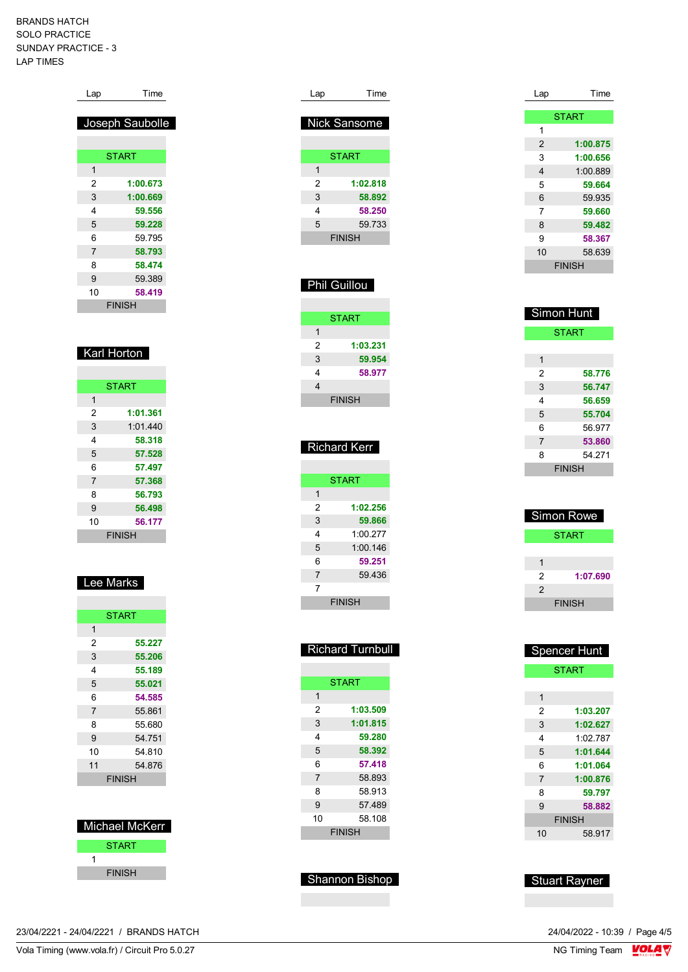| Lap           | Time            |
|---------------|-----------------|
|               |                 |
|               | Joseph Saubolle |
|               |                 |
|               | <b>START</b>    |
| 1             |                 |
| 2             | 1:00.673        |
| 3             | 1:00.669        |
| 4             | 59.556          |
| 5             | 59.228          |
| 6             | 59 795          |
| 7             | 58.793          |
| 8             | 58.474          |
| 9             | 59.389          |
| 10            | 58.419          |
| <b>FINISH</b> |                 |

### Karl Horton

|               | <b>START</b> |  |  |
|---------------|--------------|--|--|
| 1             |              |  |  |
| 2             | 1:01.361     |  |  |
| 3             | 1:01.440     |  |  |
| 4             | 58.318       |  |  |
| 5             | 57.528       |  |  |
| 6             | 57.497       |  |  |
| 7             | 57.368       |  |  |
| 8             | 56.793       |  |  |
| 9             | 56.498       |  |  |
| 10            | 56.177       |  |  |
| <b>FINISH</b> |              |  |  |
|               |              |  |  |

## Lee Marks

| <b>START</b> |               |
|--------------|---------------|
| 1            |               |
| 2            | 55.227        |
| 3            | 55.206        |
| 4            | 55.189        |
| 5            | 55.021        |
| 6            | 54.585        |
| 7            | 55.861        |
| 8            | 55.680        |
| 9            | 54.751        |
| 10           | 54 810        |
| 11           | 54.876        |
|              | <b>FINISH</b> |

| Michael McKerr |  |  |
|----------------|--|--|
| <b>START</b>   |  |  |
|                |  |  |
| <b>FINISH</b>  |  |  |

| Lap           | Time                |  |
|---------------|---------------------|--|
|               |                     |  |
|               | <b>Nick Sansome</b> |  |
|               |                     |  |
|               | <b>START</b>        |  |
| 1             |                     |  |
| 2             | 1:02.818            |  |
| 3             | 58.892              |  |
| 4             | 58.250              |  |
| 5             | 59 733              |  |
| <b>FINISH</b> |                     |  |

## Phil Guillou

|                | <b>START</b>  |
|----------------|---------------|
| 1              |               |
| $\overline{2}$ | 1:03.231      |
| 3              | 59.954        |
| 4              | 58.977        |
| 4              |               |
|                | <b>FINISH</b> |

| Richard Kerr |  |
|--------------|--|
|              |  |

|                | <b>START</b>  |
|----------------|---------------|
| 1              |               |
| 2              | 1:02.256      |
| 3              | 59.866        |
| 4              | 1:00.277      |
| 5              | 1:00.146      |
| 6              | 59.251        |
| $\overline{7}$ | 59.436        |
| 7              |               |
|                | <b>FINISH</b> |

| <b>Richard Turnbull</b> |              |  |
|-------------------------|--------------|--|
|                         |              |  |
|                         | <b>START</b> |  |
| 1                       |              |  |
| 2                       | 1:03.509     |  |
| 3                       | 1:01.815     |  |
| 4                       | 59.280       |  |
| 5                       | 58.392       |  |
| 6                       | 57.418       |  |
| $\overline{7}$          | 58.893       |  |
| 8                       | 58.913       |  |
| 9                       | 57.489       |  |
| 10                      | 58.108       |  |
|                         | FINISH       |  |

Shannon Bishop

| Lap | Time          |
|-----|---------------|
|     |               |
|     | <b>START</b>  |
| 1   |               |
| 2   | 1:00.875      |
| 3   | 1:00.656      |
| 4   | 1:00.889      |
| 5   | 59.664        |
| 6   | 59.935        |
| 7   | 59.660        |
| 8   | 59.482        |
| 9   | 58.367        |
| 10  | 58.639        |
|     | <b>FINISH</b> |

| Simon Hunt    |        |  |
|---------------|--------|--|
| <b>START</b>  |        |  |
|               |        |  |
| 1             |        |  |
| 2             | 58.776 |  |
| 3             | 56.747 |  |
| 4             | 56.659 |  |
| 5             | 55.704 |  |
| 6             | 56.977 |  |
| 7             | 53.860 |  |
| 8             | 54 271 |  |
| <b>FINISH</b> |        |  |

| <b>Simon Rowe</b> |               |  |
|-------------------|---------------|--|
| <b>START</b>      |               |  |
|                   |               |  |
| 1                 |               |  |
| 2                 | 1:07.690      |  |
| 2                 |               |  |
|                   | <b>FINISH</b> |  |

| <b>Spencer Hunt</b> |               |  |
|---------------------|---------------|--|
| <b>START</b>        |               |  |
|                     |               |  |
| 1                   |               |  |
| 2                   | 1:03.207      |  |
| 3                   | 1:02.627      |  |
| 4                   | 1.02787       |  |
| 5                   | 1:01.644      |  |
| 6                   | 1:01.064      |  |
| $\overline{7}$      | 1:00.876      |  |
| 8                   | 59.797        |  |
| 9                   | 58.882        |  |
|                     | <b>FINISH</b> |  |
| 10                  | 58.917        |  |

## Stuart Rayner